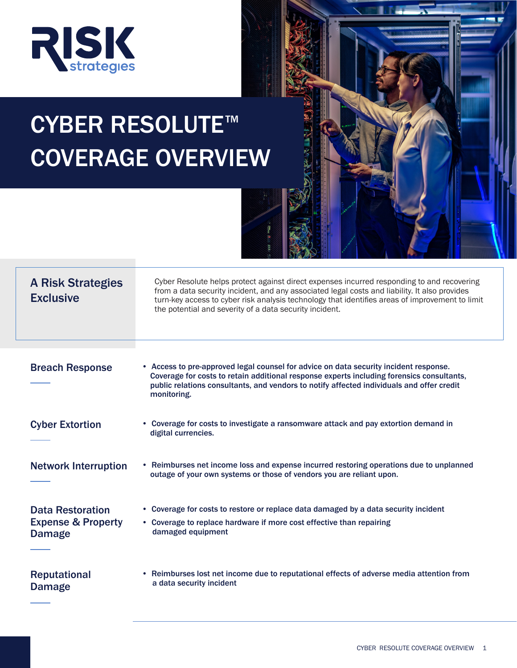

# CYBER RESOLUTE<sup>™</sup> COVERAGE OVERVIEW



# A Risk Strategies **Exclusive**

Cyber Resolute helps protect against direct expenses incurred responding to and recovering from a data security incident, and any associated legal costs and liability. It also provides turn-key access to cyber risk analysis technology that identifies areas of improvement to limit the potential and severity of a data security incident.

| <b>Breach Response</b>                                             | • Access to pre-approved legal counsel for advice on data security incident response.<br>Coverage for costs to retain additional response experts including forensics consultants,<br>public relations consultants, and vendors to notify affected individuals and offer credit<br>monitoring. |
|--------------------------------------------------------------------|------------------------------------------------------------------------------------------------------------------------------------------------------------------------------------------------------------------------------------------------------------------------------------------------|
| <b>Cyber Extortion</b>                                             | • Coverage for costs to investigate a ransomware attack and pay extortion demand in<br>digital currencies.                                                                                                                                                                                     |
| <b>Network Interruption</b>                                        | Reimburses net income loss and expense incurred restoring operations due to unplanned<br>outage of your own systems or those of vendors you are reliant upon.                                                                                                                                  |
| <b>Data Restoration</b><br><b>Expense &amp; Property</b><br>Damage | • Coverage for costs to restore or replace data damaged by a data security incident<br>• Coverage to replace hardware if more cost effective than repairing<br>damaged equipment                                                                                                               |
| <b>Reputational</b><br>Damage                                      | • Reimburses lost net income due to reputational effects of adverse media attention from<br>a data security incident                                                                                                                                                                           |